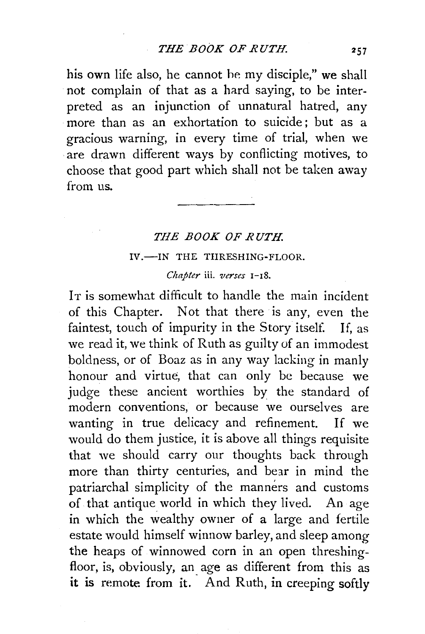his own life also, he cannot he my disciple," we shall not complain of that as a hard saying, to be interpreted as an injunction of unnatural hatred, any more than as an exhortation to suicide ; but as a gracious warning, in every time of trial, when we are drawn different ways by conflicting motives, to choose that good part which shall not be taken away from us.

## **THE BOOK OF RUTH.**

## IV .- IN THE THRESHING-FLOOR.

## *Clwpter* iii. *verses* I-IS.

It is somewhat difficult to handle the main incident of this Chapter. Not that there is any, even the faintest, touch of impurity in the Story itself. If, as we read it, we think of Ruth as guilty of an immodest boldness, or of Boaz as in any way lacking in manly honour and virtue, that can only be because we judge these ancient worthies by the standard of modern conventions, or because we ourselves are wanting in true delicacy and refinement. If we would do them justice, it is above all things requisite that we should carry our thoughts back through more than thirty centuries, and bear in mind the patriarchal simplicity of the manners and customs of that antique world in which they lived. An age in which the wealthy owner of a large and fertile estate would himself winnow barley, and sleep among the heaps of winnowed corn in an open threshingfloor, is, obviously, an age as different from this as it is remote from it. And Ruth, in creeping softly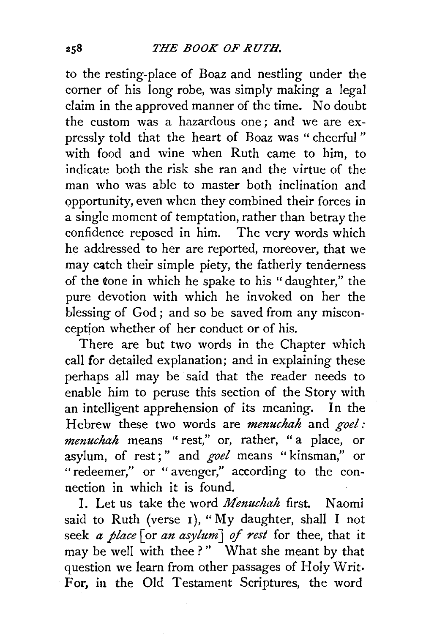to the resting-place of Boaz and nestling under the corner of his long robe, was simply making a legal claim in the approved manner of the time. No doubt the custom was a hazardous one ; and we are expressly told that the heart of Boaz was " cheerful " with food and wine when Ruth came to him, to indicate both the risk she ran and the virtue of the man who was able to master both inclination and opportunity, even when they combined their forces in a single moment of temptation, rather than betray the confidence reposed in him. The very words which he addressed to her are reported, moreover, that we may catch their simple piety, the fatherly tenderness of the tone in which he spake to his "daughter," the pure devotion with which he invoked on her the blessing of God; and so be saved from any misconception whether of her conduct or of his.

There are but two words in the Chapter which call for detailed explanation; and in explaining these perhaps all may be said that the reader needs to enable him to peruse this section of the Story with an intelligent apprehension of its meaning. In the Hebrew these two words are *menuchah* and *goel: menuchah* means " rest," or, rather, " a place, or asylum, of rest ; " and *goel* means " kinsman," or "redeemer," or "avenger," according to the connection in which it is found.

I. Let us take the word *Menuchali* first. Naomi said to Ruth (verse  $I$ ), "My daughter, shall I not seek *a place* [or *an asylum] of rest* for thee, that it may be well with thee ? " What she meant by that question we learn from other passages of Holy Writ. For, in the Old Testament Scriptures, the word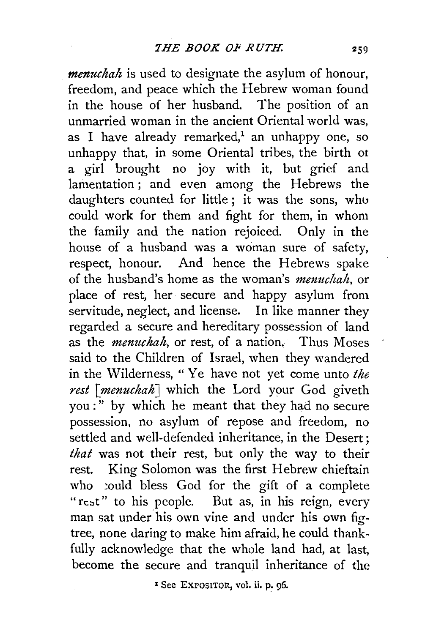*menuchah* is used to designate the asylum of honour, freedom, and peace which the Hebrew woman found in the house of her husband. The position of an unmarried woman in the ancient Oriental world was, as I have already remarked, $^1$  an unhappy one, so unhappy that, in some Oriental tribes, the birth ot a girl brought no joy with it, but grief and lamentation; and even among the Hebrews the daughters counted for little; it was the sons, who could work for them and fight for them, in whom the family and the nation rejoiced. Only in the house of a husband was a woman sure of safety, respect, honour. And hence the Hebrews spake of the husband's home as the woman's *menuchah*, or place of rest, her secure and happy asylum from servitude, neglect, and license. In like manner they regarded a secure and hereditary possession of land as the *menuchah*, or rest, of a nation. Thus Moses said to the Children of Israel, when they wandered in the Wilderness, " Ye have not yet come unto *the rest* [ *menuchah]* which the Lord your God giveth you:" by which he meant that they had no secure possession, no asylum of repose and freedom, no settled and well-defended inheritance, in the Desert; *that* was not their rest, but only the way to their rest. King Solomon was the first Hebrew chieftain who could bless God for the gift of a complete "rest" to his people. But as, in his reign, every man sat under his own vine and under his own figtree, none daring to make him afraid, he could thankfully acknowledge that the whole land had, at last, become the secure and tranquil inheritance of the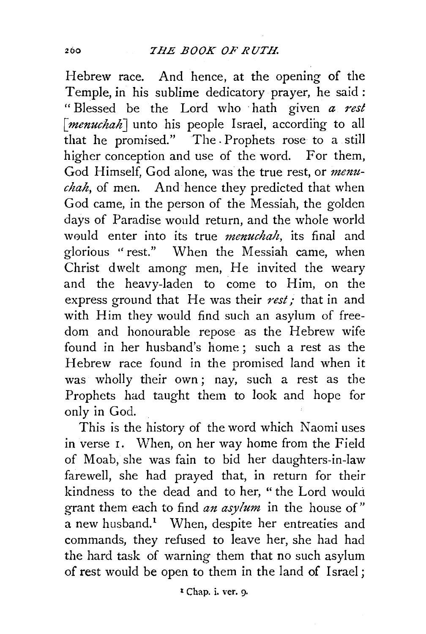Hebrew race. And hence, at the opening of the Temple, in his sublime dedicatory prayer, he said: "Blessed be the Lord who · hath given *a nst*  [*menuchah*] unto his people Israel, according to all that he promised." The. Prophets rose to a still higher conception and use of the word. For them, God Himself, God alone, was the true rest, or *menuchah,* of men. And hence they predicted that when God came, in the person of the Messiah, the golden days of Paradise would return, and the whole world would enter into its true *menuchah,* its final and glorious ''rest." When the Messiah came, when Christ dwelt among men, He invited the weary and the heavy-laden to come to Him, on the express ground that He was their *rest*; that in and with Him they would find such an asylum of freedom and honourable repose as the Hebrew wife found in her husband's home ; such a rest as the Hebrew race found in the promised land when it was wholly their own; nay, such a rest as the Prophets had taught them to look and hope for only in God.

This is the history of the word which Naomi uses in verse r. When, on her way home from the Field of Moab, she was fain to bid her daughters-in-law farewell, she had prayed that, in return for their kindness to the dead and to her, " the Lord would grant them each to find *an asylum* in the house of" a new husband.<sup>1</sup> When, despite her entreaties and commands, they refused to leave her, she had had the hard task of warning them that no such asylum of rest would be open to them in the land of Israel ;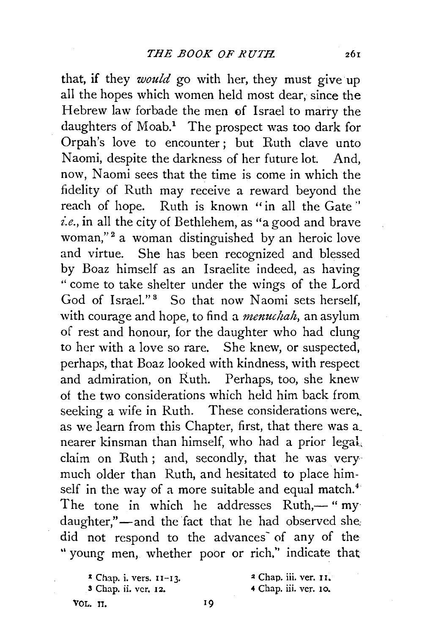that, if they *would* go with her, they must give up all the hopes which women held most dear, since the Hebrew law forbade the men of Israel to marry the daughters of Moab.<sup>1</sup> The prospect was too dark for Orpah's love to encounter; but Ruth clave unto Naomi, despite the darkness of her future lot. And, now. Naomi sees that the time is come in which the fidelity of Ruth may receive a reward beyond the reach of hope. Ruth is known "in all the Gate" *i.e.,* in all the city of Bethlehem, as "a good and brave woman,"<sup>2</sup> a woman distinguished by an heroic love and virtue. She has been recognized and blessed by Boaz himself as an Israelite indeed, as having " come to take shelter under the wings of the Lord God of Israel."<sup>3</sup> So that now Naomi sets herself, with courage and hope, to find a *menuchah,* an asylum of rest and honour, for the daughter who had clung to her with a love so rare. She knew, or suspected, perhaps, that Boaz looked with kindness, with respect and admiration, on Ruth. Perhaps, too, she knew of the two considerations which held him back from seeking a wife in Ruth. These considerations were,. as we learn from this Chapter, first, that there was a\_ nearer kinsman than himself, who had a prior  $lega_{ki}^1$ claim on Ruth ; and, secondly, that he was very· much older than Ruth, and hesitated to place himself in the way of a more suitable and equal match. $4$ The tone in which he addresses Ruth, $-$  " mydaughter,"-and the fact that he had observed she, did not respond to the advances of any of the "young men, whether poor or rich," indicate that

<sup>I</sup>Chap. i. vers. 11-13. s Chap. ii. vcr. 12.

2 Chap. iii. ver. I I. 4 Chap. iii. ver. 10.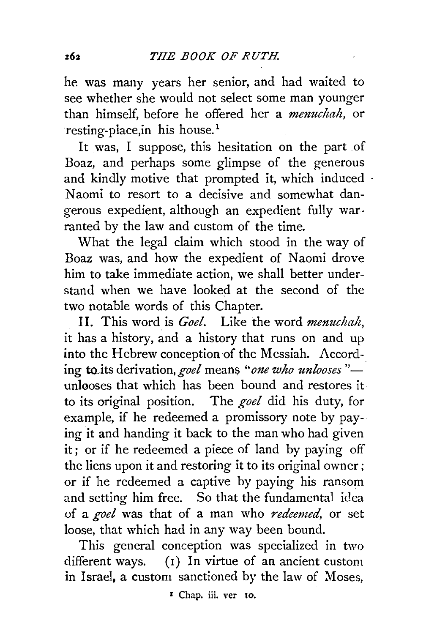he was many years her senior, and had waited to see whether she would not select some man younger than himself, before he offered her a *menuchah,* or resting-place, in his house.<sup>1</sup>

It was, I suppose, this hesitation on the part of Boaz, and perhaps some glimpse of the generous and kindly motive that prompted it, which induced · Naomi to resort to a decisive and somewhat dangerous expedient, although an expedient fully war· ranted by the law and custom of the time.

What the legal claim which stood in the way of Boaz was, and how the expedient of Naomi drove him to take immediate action, we shall better understand when we have looked at the second of the two notable words of this Chapter.

II. This word is *Goel*. Like the word *menuchah*, it has a history, and a history that runs on and up into the Hebrew conception of the Messiah. According to.its derivation, goel means "one who unlooses"unlooses that which has been bound and restores it to its original position. The *goel* did his duty, for example, if he redeemed a promissory note by paying it and handing it back to the man who had given it; or if he redeemed a piece of land by paying off the liens upon it and restoring it to its original owner; or if he redeemed a captive by paying his ransom and setting him free. So that the fundamental idea of a *goel* was that of a man who *redeemed,* or set loose, that which had in any way been bound.

This general conception was specialized in two different ways. (1) In virtue of an ancient custom in Israel, a custom sanctioned by the law of Moses,

1 Chap. iii. ver to.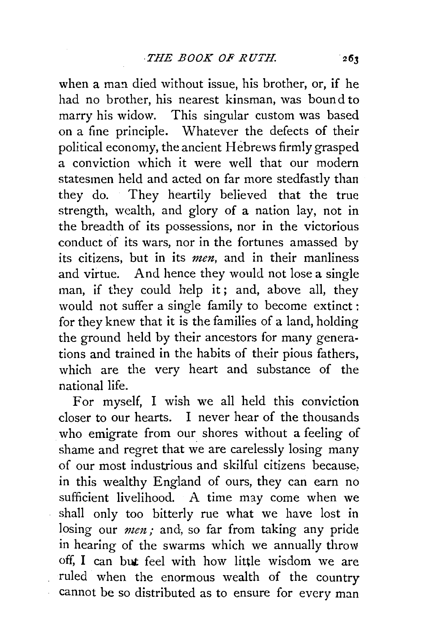when a man died without issue, his brother, or, if he had no brother, his nearest kinsman, was bound to marry his widow. This singular custom was based on a fine principle. Whatever the defects of their political economy, the ancient Hebrews firmly grasped a conviction which it were well that our modern statesmen held and acted on far more stedfastly than they do. They heartily believed that the true strength, wealth, and glory of a nation lay, not in the breadth of its possessions, nor in the victorious conduct of its wars, nor in the fortunes amassed by its citizens, but in its *men,* and in their manliness and virtue. And hence they would not lose a single man, if they could help it; and, above all, they would not suffer a single family to become extinct : for they knew that it is the families of a land, holding the ground held by their ancestors for many generations and trained in the habits of their pious fathers, which are the very heart and substance of the national life.

For myself, I wish we all held this conviction closer to our hearts. I never hear of the thousands who emigrate from our shores without a feeling of shame and regret that we are carelessly losing many of our most industrious and skilful citizens because. in this wealthy England of ours, they can earn no sufficient livelihood. A time may come when we shall only too bitterly rue what we have lost in losing our *men*; and, so far from taking any pride in hearing of the swarms which we annually throw off, I can but feel with how little wisdom we are ruled when the enormous wealth of the country cannot be so distributed as to ensure for every man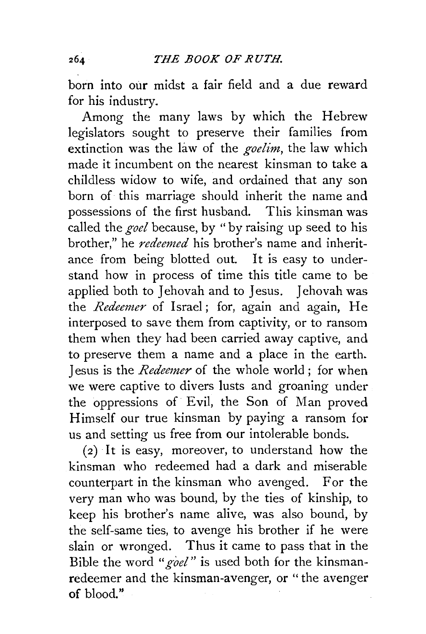born into our midst a fair field and a due reward for his industry.

Among the many laws by which the Hebrew legislators sought to preserve their families from extinction was the law of the *goelim,* the law which made it incumbent on the nearest kinsman to take a childless widow to wife, and ordained that any son born of this marriage should inherit the name and possessions of the first husband. This kinsman was called the *goel* because, by " by raising up seed to his brother," he *redeemed* his brother's name and inheritance from being blotted out. It is easy to understand how in process of time this title came to be applied both to Jehovah and to Jesus. Jehovah was the *Redeemer* of Israel; for, again and again, He interposed to save them from captivity, or to ransom them when they had been carried away captive, and to preserve them a name and a place in the earth. Jesus is the *Redeemer* of the whole world ; for when we were captive to divers lusts and groaning under the oppressions of Evil, the Son of Man proved Himself our true kinsman by paying a ransom for us and setting us free from our intolerable bonds.

 $(2)$  It is easy, moreover, to understand how the kinsman who redeemed had a dark and miserable counterpart in the kinsman who avenged. For the very man who was bound, by the ties of kinship, to keep his brother's name alive, was also bound, by the self-same ties, to avenge his brother if he were slain or wronged. Thus it came to pass that in the Bible the word *"goel"* is used both for the kinsmanredeemer and the kinsman-avenger, or "the avenger of blood."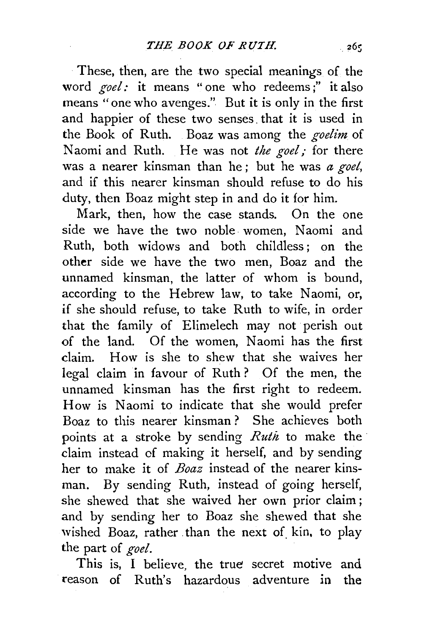These, then, are the two special meanings. of the word *goel:* it means "one who redeems;" it also means "one who avenges." But it is only in the first and happier of these two senses, that it is used in the Book of Ruth. Boaz was among the *goelim* of Naomi and Ruth. He was not *the goel;* for there was a nearer kinsman than he; but he was *a goel*, and if this nearer kinsman should refuse to do his duty, then Boaz might step in and do it for him.

Mark, then, how the case stands. On the one side we have the two noble women, Naomi and Ruth, both widows and both childless: on the other side we have the two men. Boaz and the unnamed kinsman, the latter of whom is bound, according to the Hebrew law, to take Naomi, or, if she should refuse, to take Ruth to wife, in order that the family of Elimelech may not perish out of the land. Of the women, Naomi has the first claim. How is she to shew that she waives her legal claim in favour of Ruth ? Of the men, the unnamed kinsman has the first right to redeem. How is Naomi to indicate that she would prefer Boaz to this nearer kinsman ? She achieves both points at a stroke by sending *Ruth* to make the claim instead of making it herself, and by sending her to make it of *Boaz* instead of the nearer kinsman. By sending Ruth, instead of going herself, she shewed that she waived her own prior claim ; and by sending her to Boaz she shewed that she wished Boaz, rather than the next of kin, to play the part of *goel.* 

This is, I believe, the true secret motive and reason of Ruth's hazardous adventure in the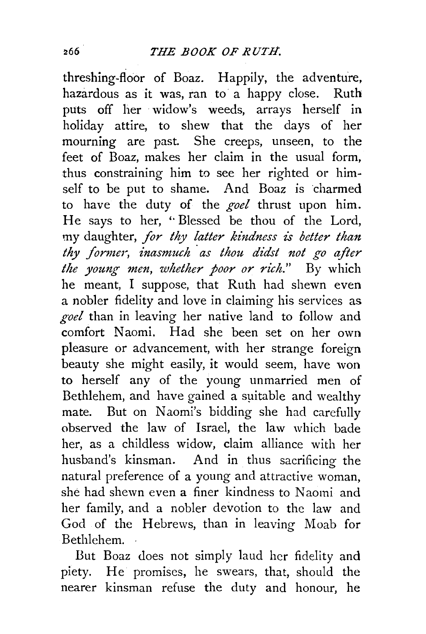threshing-floor of Boaz. Happily, the adventure, hazardous as it was, ran to a happy close. Ruth puts off her widow's weeds, arrays herself in holiday attire, to shew that the days of her mourning are past. She creeps, unseen, to the feet of Boaz, makes her claim in the usual form, thus constraining him to see her righted or himself to be put to shame. And Boaz is charmed to have the duty of the *goel* thrust upon him. He says to her, "Blessed be thou of the Lord, my daughter, *for thy latter kindness is better than* thy former, inasmuch as thou didst not go after *the young men, whether poor or rich."* By which he meant, I suppose, that Ruth had shewn even a nobler fidelity and love in claiming his services as *goel* than in leaving her native land to follow and comfort Naomi. Had she been set on her own pleasure or advancement, with her strange foreign beauty she might easily, it would seem, have won to herself any of the young unmarried men of Bethlehem, and have gained a suitable and wealthy mate. But on Naomi's bidding she had carefully observed the law of Israel, the law which bade her, as a childless widow, claim alliance with her husband's kinsman. And in thus sacrificing the natural preference of a young and attractive woman, she had shewn even a finer kindness to Naomi and her family, and a nobler devotion to the law and God of the Hebrews, than in leaving Moab for Bethlehem.

But Boaz does not simply laud her fidelity and piety. He promises, he swears, that, should the nearer kinsman refuse the duty and honour, he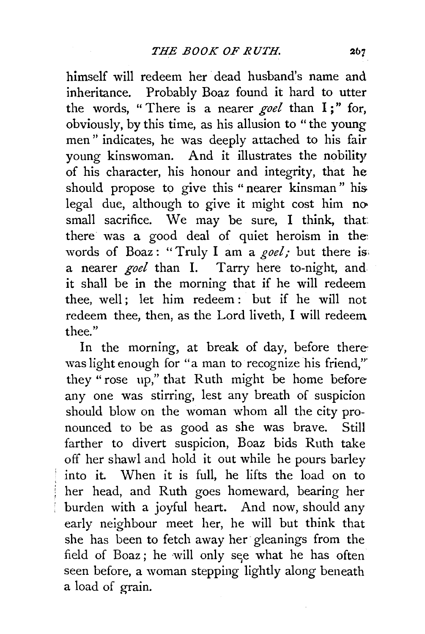himself will redeem her dead husband's name and. inheritance. Probably Boaz found it hard to utter the words, "There is a nearer goel than I;" for, obviously, by this time, as his allusion to "the young men" indicates, he was deeply attached to his fair young kinswoman. And it illustrates the nobility of his character, his honour and integrity, that he should propose to give this " nearer kinsman " his legal due, although to give it might cost him no small sacrifice. We may be sure, I think, that there was a good deal of quiet heroism in the: words of Boaz : "Truly I am a *goel;* but there is; a nearer *goel* than I. Tarry here to-night, and it shall be in the morning that if he will redeem thee, well ; let him redeem : but if he will not redeem thee, then, as the Lord liveth, I will redeem thee."

In the morning, at break of day, before therewas light enough for "a man to recognize his friend,"' they "rose up," that Ruth might be home before any one was stirring, lest any breath of suspicion should blow on the woman whom all the city pronounced to be as good as she was brave. Still farther to divert suspicion, Boaz bids Ruth take off her shawl and hold it out while he pours barley into it. When it is full, he lifts the load on to her head, and Ruth goes homeward, bearing her burden with a joyful heart. And now, should any early neighbour meet her, he will but think that she has been to fetch away her gleanings from the field of Boaz; he will only see what he has often seen before, a woman stepping lightly along beneath a load of grain.